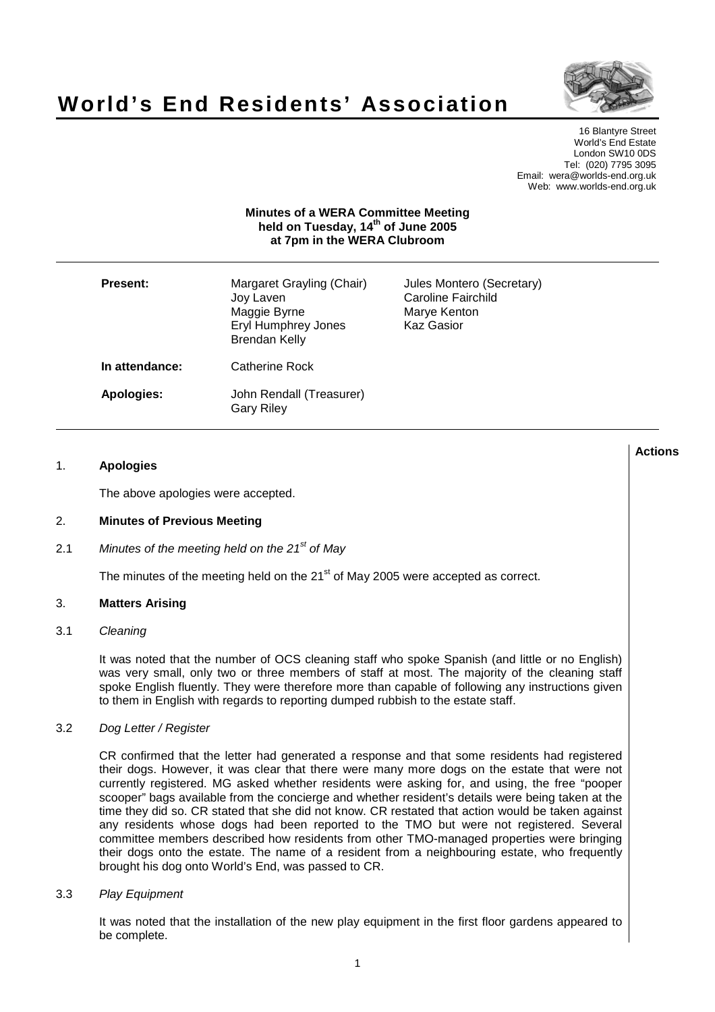

# **World's End Residents' Association**

16 Blantyre Street World's End Estate London SW10 0DS Tel: (020) 7795 3095 Email: wera@worlds-end.org.uk Web: www.worlds-end.org.uk

# **Minutes of a WERA Committee Meeting held on Tuesday, 14th of June 2005 at 7pm in the WERA Clubroom**

| <b>Present:</b> | Margaret Grayling (Chair)<br>Joy Laven<br>Maggie Byrne<br>Eryl Humphrey Jones<br><b>Brendan Kelly</b> | Jules Montero (Secretary)<br>Caroline Fairchild<br>Marye Kenton<br>Kaz Gasior |
|-----------------|-------------------------------------------------------------------------------------------------------|-------------------------------------------------------------------------------|
| In attendance:  | Catherine Rock                                                                                        |                                                                               |
| Apologies:      | John Rendall (Treasurer)<br><b>Gary Riley</b>                                                         |                                                                               |

# 1. **Apologies**

The above apologies were accepted.

# 2. **Minutes of Previous Meeting**

# 2.1 Minutes of the meeting held on the  $21<sup>st</sup>$  of May

The minutes of the meeting held on the  $21<sup>st</sup>$  of May 2005 were accepted as correct.

## 3. **Matters Arising**

## 3.1 Cleaning

It was noted that the number of OCS cleaning staff who spoke Spanish (and little or no English) was very small, only two or three members of staff at most. The majority of the cleaning staff spoke English fluently. They were therefore more than capable of following any instructions given to them in English with regards to reporting dumped rubbish to the estate staff.

## 3.2 Dog Letter / Register

CR confirmed that the letter had generated a response and that some residents had registered their dogs. However, it was clear that there were many more dogs on the estate that were not currently registered. MG asked whether residents were asking for, and using, the free "pooper scooper" bags available from the concierge and whether resident's details were being taken at the time they did so. CR stated that she did not know. CR restated that action would be taken against any residents whose dogs had been reported to the TMO but were not registered. Several committee members described how residents from other TMO-managed properties were bringing their dogs onto the estate. The name of a resident from a neighbouring estate, who frequently brought his dog onto World's End, was passed to CR.

## 3.3 Play Equipment

It was noted that the installation of the new play equipment in the first floor gardens appeared to be complete.

**Actions**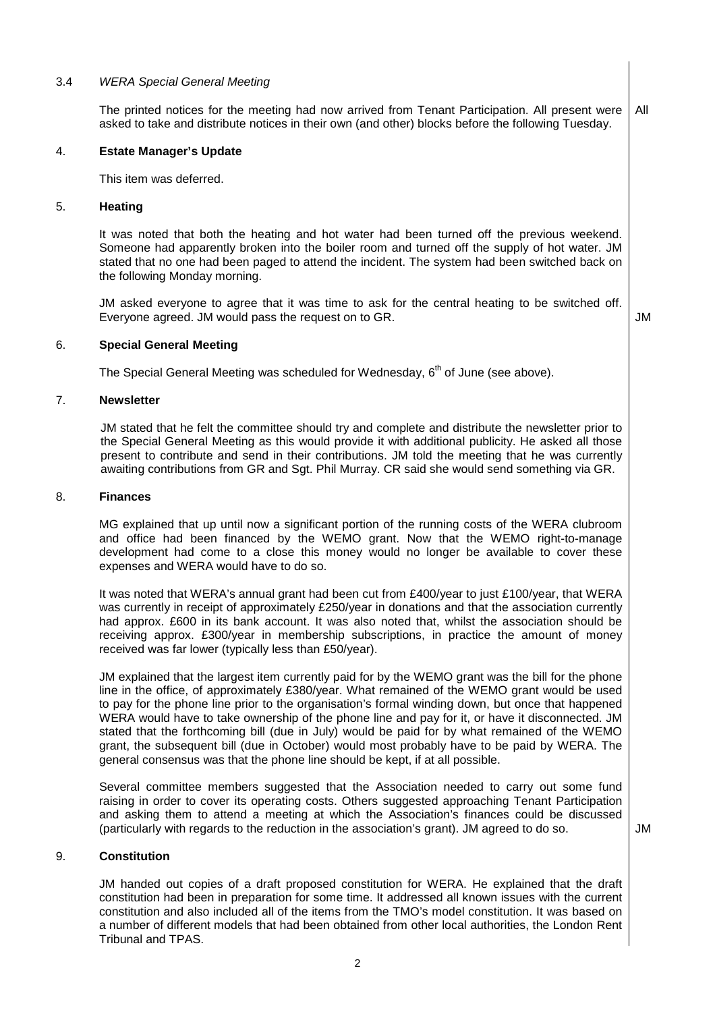## 3.4 WERA Special General Meeting

The printed notices for the meeting had now arrived from Tenant Participation. All present were asked to take and distribute notices in their own (and other) blocks before the following Tuesday. All

## 4. **Estate Manager's Update**

This item was deferred.

#### 5. **Heating**

It was noted that both the heating and hot water had been turned off the previous weekend. Someone had apparently broken into the boiler room and turned off the supply of hot water. JM stated that no one had been paged to attend the incident. The system had been switched back on the following Monday morning.

JM asked everyone to agree that it was time to ask for the central heating to be switched off. Everyone agreed. JM would pass the request on to GR.  $\blacksquare$ 

## 6. **Special General Meeting**

The Special General Meeting was scheduled for Wednesday, 6<sup>th</sup> of June (see above).

#### 7. **Newsletter**

JM stated that he felt the committee should try and complete and distribute the newsletter prior to the Special General Meeting as this would provide it with additional publicity. He asked all those present to contribute and send in their contributions. JM told the meeting that he was currently awaiting contributions from GR and Sgt. Phil Murray. CR said she would send something via GR.

#### 8. **Finances**

MG explained that up until now a significant portion of the running costs of the WERA clubroom and office had been financed by the WEMO grant. Now that the WEMO right-to-manage development had come to a close this money would no longer be available to cover these expenses and WERA would have to do so.

It was noted that WERA's annual grant had been cut from £400/year to just £100/year, that WERA was currently in receipt of approximately £250/year in donations and that the association currently had approx. £600 in its bank account. It was also noted that, whilst the association should be receiving approx. £300/year in membership subscriptions, in practice the amount of money received was far lower (typically less than £50/year).

JM explained that the largest item currently paid for by the WEMO grant was the bill for the phone line in the office, of approximately £380/year. What remained of the WEMO grant would be used to pay for the phone line prior to the organisation's formal winding down, but once that happened WERA would have to take ownership of the phone line and pay for it, or have it disconnected. JM stated that the forthcoming bill (due in July) would be paid for by what remained of the WEMO grant, the subsequent bill (due in October) would most probably have to be paid by WERA. The general consensus was that the phone line should be kept, if at all possible.

Several committee members suggested that the Association needed to carry out some fund raising in order to cover its operating costs. Others suggested approaching Tenant Participation and asking them to attend a meeting at which the Association's finances could be discussed (particularly with regards to the reduction in the association's grant). JM agreed to do so.

#### 9. **Constitution**

JM handed out copies of a draft proposed constitution for WERA. He explained that the draft constitution had been in preparation for some time. It addressed all known issues with the current constitution and also included all of the items from the TMO's model constitution. It was based on a number of different models that had been obtained from other local authorities, the London Rent Tribunal and TPAS.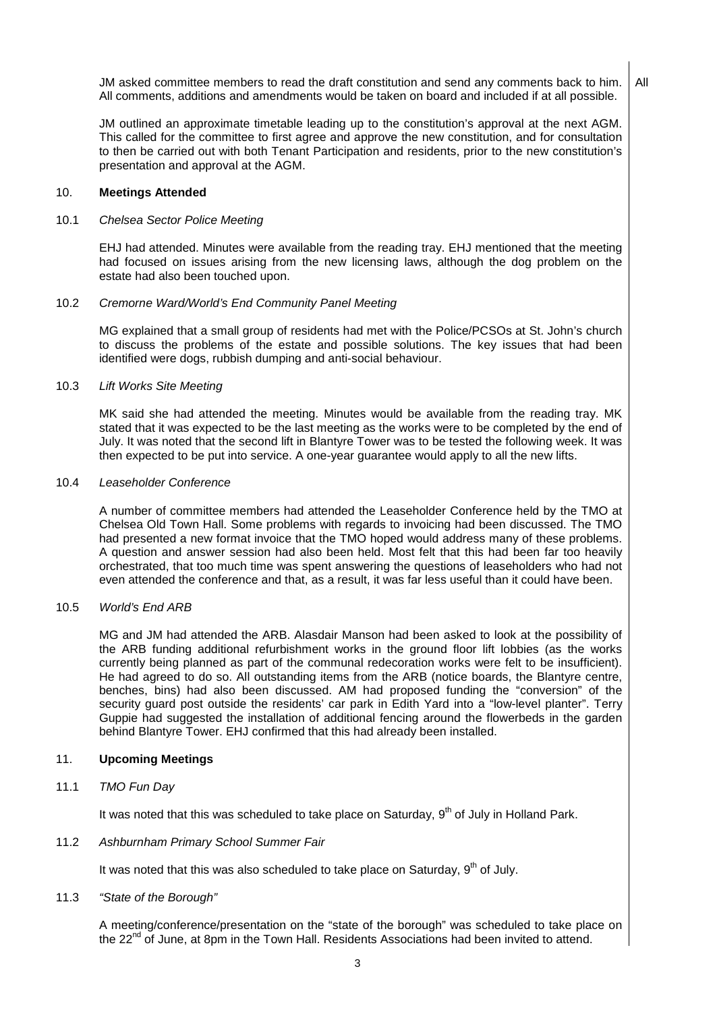JM asked committee members to read the draft constitution and send any comments back to him. All comments, additions and amendments would be taken on board and included if at all possible. All

JM outlined an approximate timetable leading up to the constitution's approval at the next AGM. This called for the committee to first agree and approve the new constitution, and for consultation to then be carried out with both Tenant Participation and residents, prior to the new constitution's presentation and approval at the AGM.

# 10. **Meetings Attended**

#### 10.1 Chelsea Sector Police Meeting

EHJ had attended. Minutes were available from the reading tray. EHJ mentioned that the meeting had focused on issues arising from the new licensing laws, although the dog problem on the estate had also been touched upon.

#### 10.2 Cremorne Ward/World's End Community Panel Meeting

MG explained that a small group of residents had met with the Police/PCSOs at St. John's church to discuss the problems of the estate and possible solutions. The key issues that had been identified were dogs, rubbish dumping and anti-social behaviour.

#### 10.3 Lift Works Site Meeting

MK said she had attended the meeting. Minutes would be available from the reading tray. MK stated that it was expected to be the last meeting as the works were to be completed by the end of July. It was noted that the second lift in Blantyre Tower was to be tested the following week. It was then expected to be put into service. A one-year guarantee would apply to all the new lifts.

## 10.4 Leaseholder Conference

A number of committee members had attended the Leaseholder Conference held by the TMO at Chelsea Old Town Hall. Some problems with regards to invoicing had been discussed. The TMO had presented a new format invoice that the TMO hoped would address many of these problems. A question and answer session had also been held. Most felt that this had been far too heavily orchestrated, that too much time was spent answering the questions of leaseholders who had not even attended the conference and that, as a result, it was far less useful than it could have been.

## 10.5 World's End ARB

MG and JM had attended the ARB. Alasdair Manson had been asked to look at the possibility of the ARB funding additional refurbishment works in the ground floor lift lobbies (as the works currently being planned as part of the communal redecoration works were felt to be insufficient). He had agreed to do so. All outstanding items from the ARB (notice boards, the Blantyre centre, benches, bins) had also been discussed. AM had proposed funding the "conversion" of the security guard post outside the residents' car park in Edith Yard into a "low-level planter". Terry Guppie had suggested the installation of additional fencing around the flowerbeds in the garden behind Blantyre Tower. EHJ confirmed that this had already been installed.

## 11. **Upcoming Meetings**

## 11.1 TMO Fun Day

It was noted that this was scheduled to take place on Saturday,  $9<sup>th</sup>$  of July in Holland Park.

# 11.2 Ashburnham Primary School Summer Fair

It was noted that this was also scheduled to take place on Saturday,  $9<sup>th</sup>$  of July.

## 11.3 "State of the Borough"

A meeting/conference/presentation on the "state of the borough" was scheduled to take place on the  $22^{nd}$  of June, at 8pm in the Town Hall. Residents Associations had been invited to attend.